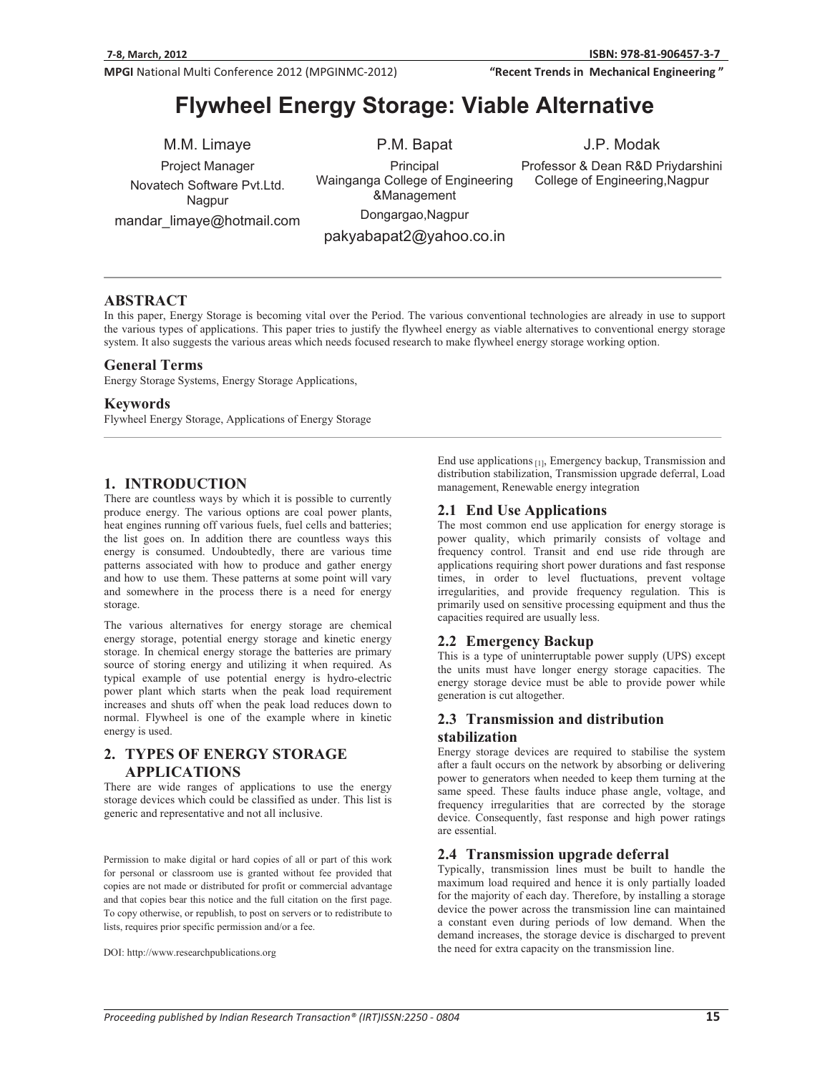MPGI National Multi Conference 2012 (MPGINMC-2012)

"Recent Trends in Mechanical Engineering"

# **Flywheel Energy Storage: Viable Alternative**

P.M. Bapat

M.M. Limaye Project Manager Novatech Software Pvt.Ltd. Nagpur mandar\_limaye@hotmail.com

Principal Wainganga College of Engineering &Management Dongargao,Nagpur

pakyabapat2@yahoo.co.in

J.P. Modak

Professor & Dean R&D Priydarshini College of Engineering,Nagpur

#### **ABSTRACT**

In this paper, Energy Storage is becoming vital over the Period. The various conventional technologies are already in use to support the various types of applications. This paper tries to justify the flywheel energy as viable alternatives to conventional energy storage system. It also suggests the various areas which needs focused research to make flywheel energy storage working option.

#### **General Terms**

Energy Storage Systems, Energy Storage Applications,

#### **Keywords**

Flywheel Energy Storage, Applications of Energy Storage

#### **1. INTRODUCTION**

There are countless ways by which it is possible to currently produce energy. The various options are coal power plants, heat engines running off various fuels, fuel cells and batteries; the list goes on. In addition there are countless ways this energy is consumed. Undoubtedly, there are various time patterns associated with how to produce and gather energy and how to use them. These patterns at some point will vary and somewhere in the process there is a need for energy storage.

The various alternatives for energy storage are chemical energy storage, potential energy storage and kinetic energy storage. In chemical energy storage the batteries are primary source of storing energy and utilizing it when required. As typical example of use potential energy is hydro-electric power plant which starts when the peak load requirement increases and shuts off when the peak load reduces down to normal. Flywheel is one of the example where in kinetic energy is used.

#### **2. TYPES OF ENERGY STORAGE APPLICATIONS**

There are wide ranges of applications to use the energy storage devices which could be classified as under. This list is generic and representative and not all inclusive.

Permission to make digital or hard copies of all or part of this work for personal or classroom use is granted without fee provided that copies are not made or distributed for profit or commercial advantage and that copies bear this notice and the full citation on the first page. To copy otherwise, or republish, to post on servers or to redistribute to lists, requires prior specific permission and/or a fee.

DOI: http://www.researchpublications.org

End use applications [1], Emergency backup, Transmission and distribution stabilization, Transmission upgrade deferral, Load management, Renewable energy integration

#### **2.1 End Use Applications**

The most common end use application for energy storage is power quality, which primarily consists of voltage and frequency control. Transit and end use ride through are applications requiring short power durations and fast response times, in order to level fluctuations, prevent voltage irregularities, and provide frequency regulation. This is primarily used on sensitive processing equipment and thus the capacities required are usually less.

#### **2.2 Emergency Backup**

This is a type of uninterruptable power supply (UPS) except the units must have longer energy storage capacities. The energy storage device must be able to provide power while generation is cut altogether.

#### **2.3 Transmission and distribution stabilization**

Energy storage devices are required to stabilise the system after a fault occurs on the network by absorbing or delivering power to generators when needed to keep them turning at the same speed. These faults induce phase angle, voltage, and frequency irregularities that are corrected by the storage device. Consequently, fast response and high power ratings are essential.

#### **2.4 Transmission upgrade deferral**

Typically, transmission lines must be built to handle the maximum load required and hence it is only partially loaded for the majority of each day. Therefore, by installing a storage device the power across the transmission line can maintained a constant even during periods of low demand. When the demand increases, the storage device is discharged to prevent the need for extra capacity on the transmission line.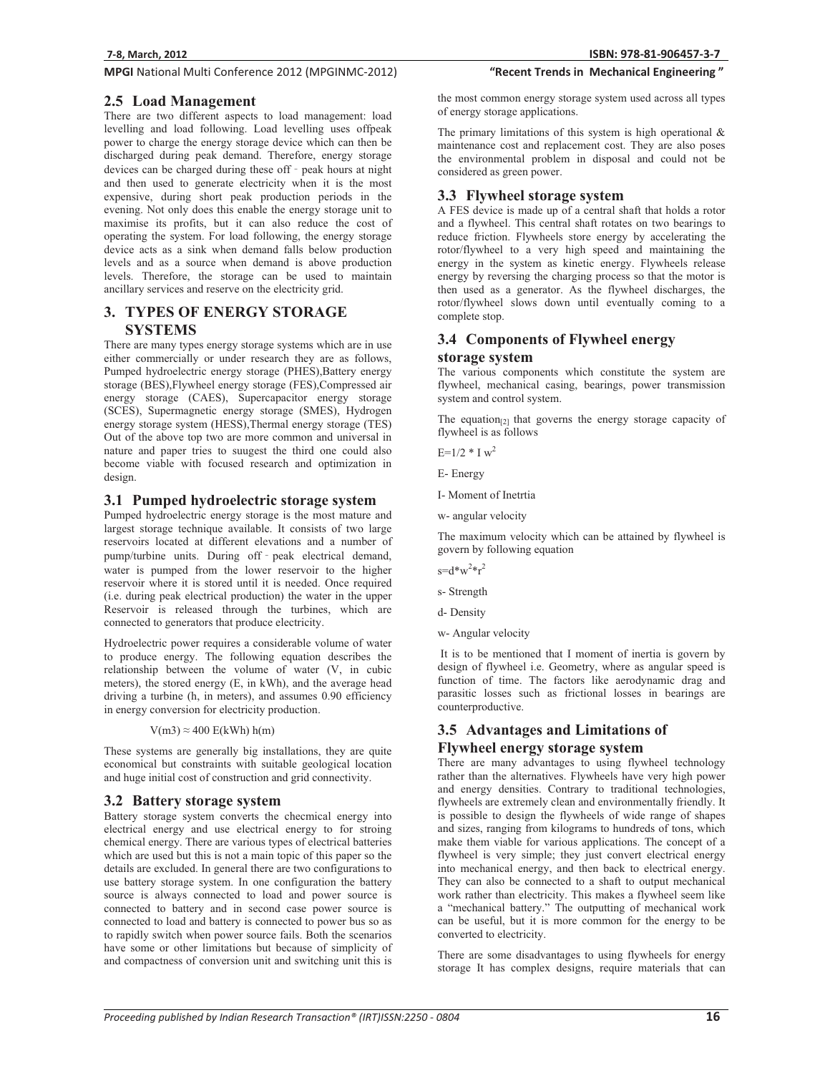#### MPGI National Multi Conference 2012 (MPGINMC-2012)

#### **2.5 Load Management**

There are two different aspects to load management: load levelling and load following. Load levelling uses offpeak power to charge the energy storage device which can then be discharged during peak demand. Therefore, energy storage devices can be charged during these off - peak hours at night and then used to generate electricity when it is the most expensive, during short peak production periods in the evening. Not only does this enable the energy storage unit to maximise its profits, but it can also reduce the cost of operating the system. For load following, the energy storage device acts as a sink when demand falls below production levels and as a source when demand is above production levels. Therefore, the storage can be used to maintain ancillary services and reserve on the electricity grid.

#### **3. TYPES OF ENERGY STORAGE SYSTEMS**

There are many types energy storage systems which are in use either commercially or under research they are as follows, Pumped hydroelectric energy storage (PHES),Battery energy storage (BES),Flywheel energy storage (FES),Compressed air energy storage (CAES), Supercapacitor energy storage (SCES), Supermagnetic energy storage (SMES), Hydrogen energy storage system (HESS),Thermal energy storage (TES) Out of the above top two are more common and universal in nature and paper tries to suugest the third one could also become viable with focused research and optimization in design.

#### **3.1 Pumped hydroelectric storage system**

Pumped hydroelectric energy storage is the most mature and largest storage technique available. It consists of two large reservoirs located at different elevations and a number of pump/turbine units. During off - peak electrical demand, water is pumped from the lower reservoir to the higher reservoir where it is stored until it is needed. Once required (i.e. during peak electrical production) the water in the upper Reservoir is released through the turbines, which are connected to generators that produce electricity.

Hydroelectric power requires a considerable volume of water to produce energy. The following equation describes the relationship between the volume of water (V, in cubic meters), the stored energy (E, in kWh), and the average head driving a turbine (h, in meters), and assumes 0.90 efficiency in energy conversion for electricity production.

 $V(m3) \approx 400$  E(kWh) h(m)

These systems are generally big installations, they are quite economical but constraints with suitable geological location and huge initial cost of construction and grid connectivity.

#### **3.2 Battery storage system**

Battery storage system converts the checmical energy into electrical energy and use electrical energy to for stroing chemical energy. There are various types of electrical batteries which are used but this is not a main topic of this paper so the details are excluded. In general there are two configurations to use battery storage system. In one configuration the battery source is always connected to load and power source is connected to battery and in second case power source is connected to load and battery is connected to power bus so as to rapidly switch when power source fails. Both the scenarios have some or other limitations but because of simplicity of and compactness of conversion unit and switching unit this is

**81-906457-3-7**

#### "Recent Trends in Mechanical Engineering"

the most common energy storage system used across all types of energy storage applications.

The primary limitations of this system is high operational  $\&$ maintenance cost and replacement cost. They are also poses the environmental problem in disposal and could not be considered as green power.

#### **3.3 Flywheel storage system**

A FES device is made up of a central shaft that holds a rotor and a flywheel. This central shaft rotates on two bearings to reduce friction. Flywheels store energy by accelerating the rotor/flywheel to a very high speed and maintaining the energy in the system as kinetic energy. Flywheels release energy by reversing the charging process so that the motor is then used as a generator. As the flywheel discharges, the rotor/flywheel slows down until eventually coming to a complete stop.

#### **3.4 Components of Flywheel energy storage system**

The various components which constitute the system are flywheel, mechanical casing, bearings, power transmission system and control system.

The equation $_{[2]}$  that governs the energy storage capacity of flywheel is as follows

 $E=1/2 * I w^2$ 

E- Energy

I- Moment of Inetrtia

w- angular velocity

The maximum velocity which can be attained by flywheel is govern by following equation

 $s = d \cdot w^2 \cdot r^2$ 

- s- Strength
- d- Density
- w- Angular velocity

 It is to be mentioned that I moment of inertia is govern by design of flywheel i.e. Geometry, where as angular speed is function of time. The factors like aerodynamic drag and parasitic losses such as frictional losses in bearings are counterproductive.

#### **3.5 Advantages and Limitations of Flywheel energy storage system**

There are many advantages to using flywheel technology rather than the alternatives. Flywheels have very high power and energy densities. Contrary to traditional technologies, flywheels are extremely clean and environmentally friendly. It is possible to design the flywheels of wide range of shapes and sizes, ranging from kilograms to hundreds of tons, which make them viable for various applications. The concept of a flywheel is very simple; they just convert electrical energy into mechanical energy, and then back to electrical energy. They can also be connected to a shaft to output mechanical work rather than electricity. This makes a flywheel seem like a "mechanical battery." The outputting of mechanical work can be useful, but it is more common for the energy to be converted to electricity.

There are some disadvantages to using flywheels for energy storage It has complex designs, require materials that can